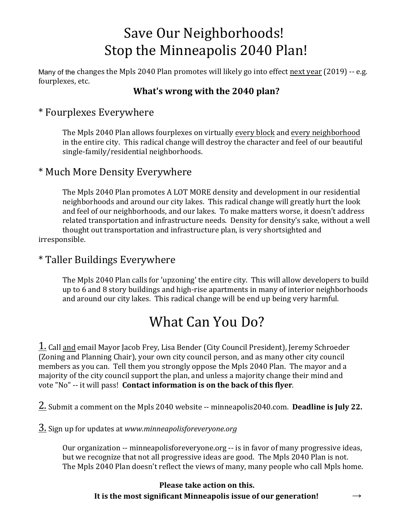# Save Our Neighborhoods!<br>Stop the Minneapolis 2040 Plan!

Many of the changes the Mpls 2040 Plan promotes will likely go into effect next year (2019) -- e.g. fourplexes, etc.

#### **What's wrong with the 2040 plan?**

### \* Fourplexes Everywhere

The Mpls 2040 Plan allows fourplexes on virtually every block and every neighborhood in the entire city. This radical change will destroy the character and feel of our beautiful single-family/residential neighborhoods.

### \* Much More Density Everywhere

The Mpls 2040 Plan promotes A LOT MORE density and development in our residential neighborhoods and around our city lakes. This radical change will greatly hurt the look and feel of our neighborhoods, and our lakes. To make matters worse, it doesn't address related transportation and infrastructure needs. Density for density's sake, without a well thought out transportation and infrastructure plan, is very shortsighted and irresponsible.

## \* Taller Buildings Everywhere

The Mpls 2040 Plan calls for 'upzoning' the entire city. This will allow developers to build up to 6 and 8 story buildings and high-rise apartments in many of interior neighborhoods and around our city lakes. This radical change will be end up being very harmful.

# What Can You Do?

1. Call and email Mayor Jacob Frey, Lisa Bender (City Council President), Jeremy Schroeder (Zoning and Planning Chair), your own city council person, and as many other city council members as you can. Tell them you strongly oppose the Mpls 2040 Plan. The mayor and a majority of the city council support the plan, and unless a majority change their mind and vote "No" -- it will pass! **Contact information is on the back of this flyer**.

2. Submit a comment on the Mpls 2040 website -- minneapolis2040.com. **Deadline is July 22.**

3. Sign up for updates at *www.minneapolisforeveryone.org*

Our organization -- minneapolisforeveryone.org -- is in favor of many progressive ideas, but we recognize that not all progressive ideas are good. The Mpls 2040 Plan is not. The Mpls 2040 Plan doesn't reflect the views of many, many people who call Mpls home.

#### **Please take action on this. It is the most significant Minneapolis issue of our generation!**  $\rightarrow$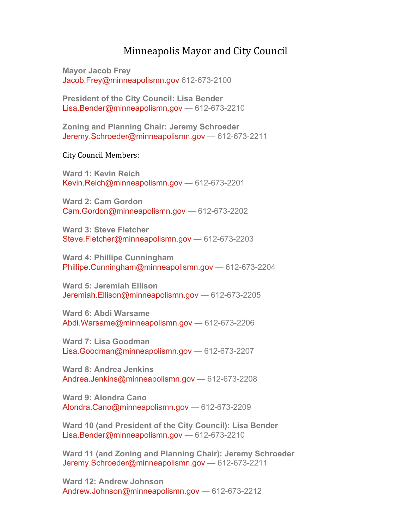#### Minneapolis Mayor and City Council

**Mayor Jacob Frey** Jacob.Frey@minneapolismn.gov 612-673-2100

**President of the City Council: Lisa Bender**  Lisa.Bender@minneapolismn.gov — 612-673-2210

**Zoning and Planning Chair: Jeremy Schroeder** Jeremy.Schroeder@minneapolismn.gov — 612-673-2211

City Council Members:

**Ward 1: Kevin Reich** Kevin.Reich@minneapolismn.gov — 612-673-2201

**Ward 2: Cam Gordon** Cam.Gordon@minneapolismn.gov — 612-673-2202

**Ward 3: Steve Fletcher** Steve.Fletcher@minneapolismn.gov - 612-673-2203

**Ward 4: Phillipe Cunningham** Phillipe.Cunningham@minneapolismn.gov — 612-673-2204

**Ward 5: Jeremiah Ellison** Jeremiah.Ellison@minneapolismn.gov — 612-673-2205

**Ward 6: Abdi Warsame** Abdi.Warsame@minneapolismn.gov — 612-673-2206

**Ward 7: Lisa Goodman** Lisa.Goodman@minneapolismn.gov — 612-673-2207

**Ward 8: Andrea Jenkins** Andrea.Jenkins@minneapolismn.gov — 612-673-2208

**Ward 9: Alondra Cano** Alondra.Cano@minneapolismn.gov — 612-673-2209

**Ward 10 (and President of the City Council): Lisa Bender** Lisa.Bender@minneapolismn.gov — 612-673-2210

**Ward 11 (and Zoning and Planning Chair): Jeremy Schroeder** Jeremy.Schroeder@minneapolismn.gov — 612-673-2211

**Ward 12: Andrew Johnson** Andrew.Johnson@minneapolismn.gov — 612-673-2212